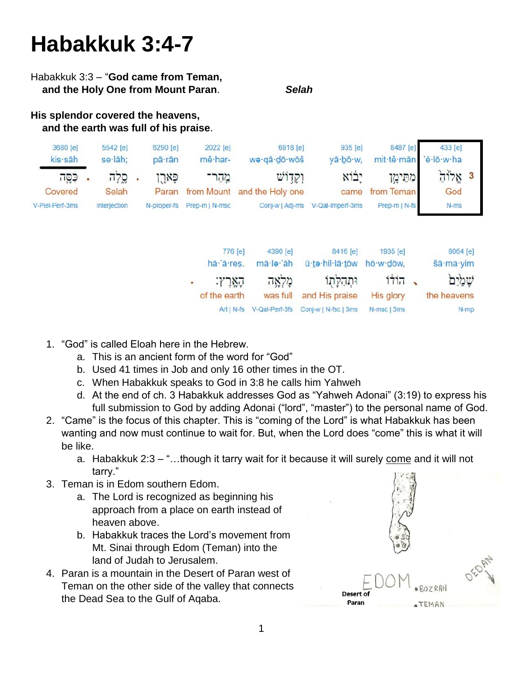# **Habakkuk 3:4-7**

#### Habakkuk 3:3 – "**God came from Teman, and the Holy One from Mount Paran**. *Selah*

#### **His splendor covered the heavens, and the earth was full of his praise**.

| 3680 [e]        | 5542 [e]            | 6290 [e]    | 2022 [e]       | 6918 [e]                    | 935 [e]                          | 8487 [e]              | 433 [e]  |  |
|-----------------|---------------------|-------------|----------------|-----------------------------|----------------------------------|-----------------------|----------|--|
| kis sāh         | se·lāh:             | pā·rān      | mê har-        | wa·qā·dō·wōš                | yā·bō·w,                         | mit·tê·mān 'ĕ·lō·w·ha |          |  |
| כּסַה           | סֵלָה               | פארו        | מהר־           | וקדוש                       | יבוא                             | מחימו                 | $7178$ 3 |  |
| Covered         | Selah               | Paran       |                | from Mount and the Holy one | came                             | from Teman            | God      |  |
| V-Piel-Perf-3ms | <b>Interjection</b> | N-proper-fs | Prep-m   N-msc |                             | Conj-w   Adj-ms V-Qal-Imperf-3ms | Prep-m   N-fs         | $N-ms$   |  |
|                 |                     |             |                |                             |                                  |                       |          |  |
|                 |                     |             |                |                             |                                  |                       |          |  |

|   | 776 [e]      | 4390 [e]       | 8416 [e]             | 1935 [e]    | 8064 [e]    |  |
|---|--------------|----------------|----------------------|-------------|-------------|--|
|   | hā 'ā res.   | mā·le·'āh      | ū-te-hil-lā-tōw      | hō·w·dōw,   | šā·ma·yim   |  |
| ٠ | הארץ:        | מַלְאֶה        | ותהלתו               | ַ הוֹדוֹ    | שמים        |  |
|   | of the earth | was full       | and His praise       | His glory   | the heavens |  |
|   | $Art N-fs$   | V-Qal-Perf-3fs | Coni-w   N-fsc   3ms | N-msc   3ms | N-mp        |  |

- 1. "God" is called Eloah here in the Hebrew.
	- a. This is an ancient form of the word for "God"
	- b. Used 41 times in Job and only 16 other times in the OT.
	- c. When Habakkuk speaks to God in 3:8 he calls him Yahweh
	- d. At the end of ch. 3 Habakkuk addresses God as "Yahweh Adonai" (3:19) to express his full submission to God by adding Adonai ("lord", "master") to the personal name of God.
- 2. "Came" is the focus of this chapter. This is "coming of the Lord" is what Habakkuk has been wanting and now must continue to wait for. But, when the Lord does "come" this is what it will be like.
	- a. Habakkuk 2:3 "...though it tarry wait for it because it will surely come and it will not tarry."
- 3. Teman is in Edom southern Edom.
	- a. The Lord is recognized as beginning his approach from a place on earth instead of heaven above.
	- b. Habakkuk traces the Lord's movement from Mt. Sinai through Edom (Teman) into the land of Judah to Jerusalem.
- 4. Paran is a mountain in the Desert of Paran west of Teman on the other side of the valley that connects the Dead Sea to the Gulf of Aqaba.

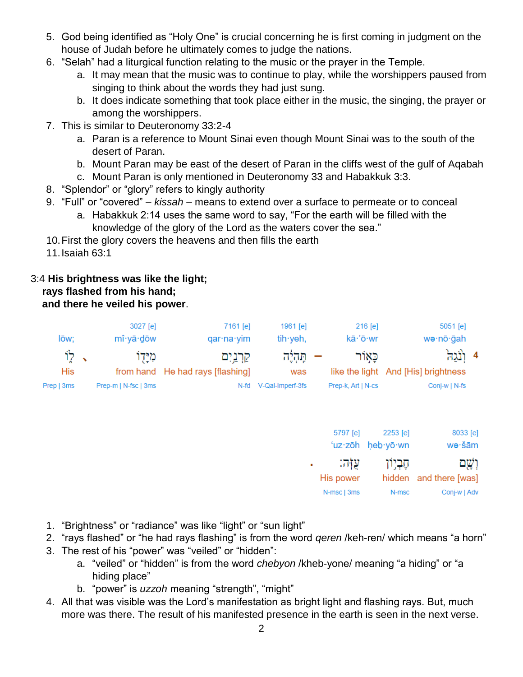- 5. God being identified as "Holy One" is crucial concerning he is first coming in judgment on the house of Judah before he ultimately comes to judge the nations.
- 6. "Selah" had a liturgical function relating to the music or the prayer in the Temple.
	- a. It may mean that the music was to continue to play, while the worshippers paused from singing to think about the words they had just sung.
	- b. It does indicate something that took place either in the music, the singing, the prayer or among the worshippers.
- 7. This is similar to Deuteronomy 33:2-4
	- a. Paran is a reference to Mount Sinai even though Mount Sinai was to the south of the desert of Paran.
	- b. Mount Paran may be east of the desert of Paran in the cliffs west of the gulf of Aqabah
	- c. Mount Paran is only mentioned in Deuteronomy 33 and Habakkuk 3:3.
- 8. "Splendor" or "glory" refers to kingly authority
- 9. "Full" or "covered" *kissah* means to extend over a surface to permeate or to conceal
	- a. Habakkuk 2:14 uses the same word to say, "For the earth will be filled with the knowledge of the glory of the Lord as the waters cover the sea."
- 10.First the glory covers the heavens and then fills the earth
- 11.Isaiah 63:1

# 3:4 **His brightness was like the light;**

#### **rays flashed from his hand; and there he veiled his power**.

| lōw;           | 3027 [e]<br>mî yā dōw | 7161 [e]<br>$qarna \cdot \text{vim}$         | 1961 [e]<br>$\mathsf{tih} \cdot \mathsf{veh}$ , | $216$ [e]<br>kā·'ō·wr | $5051$ [e]<br>wə·nō·ğah                             |  |
|----------------|-----------------------|----------------------------------------------|-------------------------------------------------|-----------------------|-----------------------------------------------------|--|
| לו $\,$<br>His | מיַדו                 | קרַנַיִם<br>from hand He had rays [flashing] | <u> ההלה</u><br>was                             | כאור                  | 4 (لَيْدِينَ<br>like the light And [His] brightness |  |
| Prep   3ms     | Prep-m   N-fsc   3ms  | N-fd                                         | V-Qal-Imperf-3fs                                | Prep-k, Art   N-cs    | Conj-w   N-fs                                       |  |

| 8033 [e]               | 2253 [e]          | 5797 [e]    |  |
|------------------------|-------------------|-------------|--|
| we·šām                 | 'uz·zōh heb·yō·wn |             |  |
| וְשָׁם                 | ּהֶבְיִוֹן        | עזה:        |  |
| hidden and there [was] |                   | His power   |  |
| Conj-w   Adv           | N-msc             | N-msc   3ms |  |

- 1. "Brightness" or "radiance" was like "light" or "sun light"
- 2. "rays flashed" or "he had rays flashing" is from the word *qeren* /keh-ren/ which means "a horn"
- 3. The rest of his "power" was "veiled" or "hidden":
	- a. "veiled" or "hidden" is from the word *chebyon* /kheb-yone/ meaning "a hiding" or "a hiding place"
	- b. "power" is *uzzoh* meaning "strength", "might"
- 4. All that was visible was the Lord's manifestation as bright light and flashing rays. But, much more was there. The result of his manifested presence in the earth is seen in the next verse.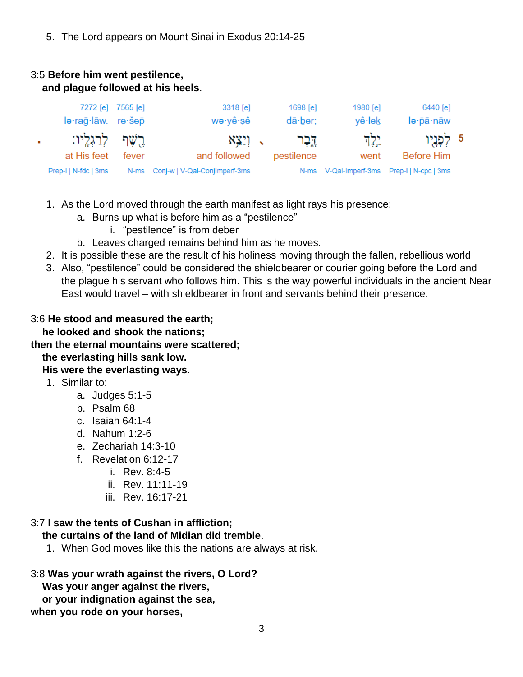5. The Lord appears on Mount Sinai in Exodus 20:14-25

### 3:5 **Before him went pestilence, and plague followed at his heels**.

| 6440 [e]                                   | 1980 [e] | 1698 [e]        | 3318 [e]                           | 7272 [e] 7565 [e] |                      |    |
|--------------------------------------------|----------|-----------------|------------------------------------|-------------------|----------------------|----|
| lə·pā·nāw                                  | vê∙lek   | $d\bar{a}$ ber; | we∙yê∙sê                           |                   | le·rag·lāw. re·šep   |    |
| 5 לְפָנָיִו                                | יל ד     | <u>גר</u>       | √ וְיֵצֵא                          |                   | ּרֵשֶׁף לְרַגְלֵיו:  | ×. |
| Before Him                                 | went     | pestilence      | and followed                       | fever             | at His feet          |    |
| N-ms V-Qal-Imperf-3ms Prep-I   N-cpc   3ms |          |                 | N-ms Conj-w   V-Qal-ConjImperf-3ms |                   | Prep-I   N-fdc   3ms |    |

- 1. As the Lord moved through the earth manifest as light rays his presence:
	- a. Burns up what is before him as a "pestilence"
		- i. "pestilence" is from deber
	- b. Leaves charged remains behind him as he moves.
- 2. It is possible these are the result of his holiness moving through the fallen, rebellious world
- 3. Also, "pestilence" could be considered the shieldbearer or courier going before the Lord and the plague his servant who follows him. This is the way powerful individuals in the ancient Near East would travel – with shieldbearer in front and servants behind their presence.

#### 3:6 **He stood and measured the earth;**

 **he looked and shook the nations;**

#### **then the eternal mountains were scattered;**

# **the everlasting hills sank low.**

# **His were the everlasting ways**.

- 1. Similar to:
	- a. Judges 5:1-5
	- b. Psalm 68
	- c. Isaiah 64:1-4
	- d. Nahum 1:2-6
	- e. Zechariah 14:3-10
	- f. Revelation 6:12-17
		- i. Rev. 8:4-5
		- ii. Rev. 11:11-19
		- iii. Rev. 16:17-21

# 3:7 **I saw the tents of Cushan in affliction;**

# **the curtains of the land of Midian did tremble**.

1. When God moves like this the nations are always at risk.

#### 3:8 **Was your wrath against the rivers, O Lord?**

 **Was your anger against the rivers,**

 **or your indignation against the sea,**

**when you rode on your horses,**